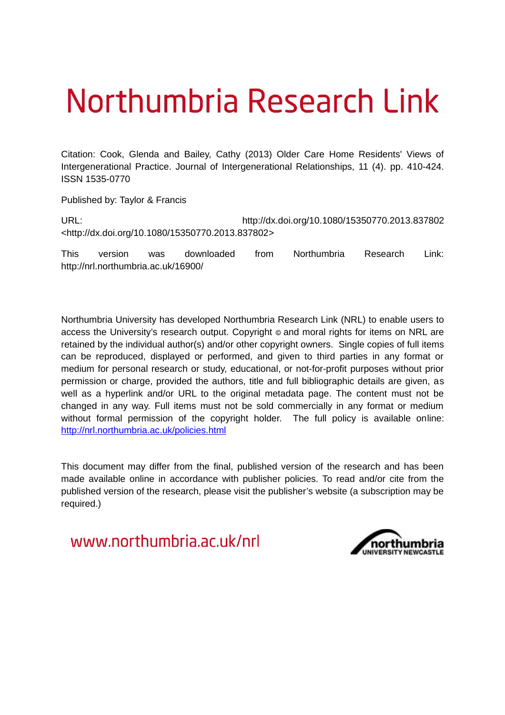# Northumbria Research Link

Citation: Cook, Glenda and Bailey, Cathy (2013) Older Care Home Residents' Views of Intergenerational Practice. Journal of Intergenerational Relationships, 11 (4). pp. 410-424. ISSN 1535-0770

Published by: Taylor & Francis

URL: http://dx.doi.org/10.1080/15350770.2013.837802 <http://dx.doi.org/10.1080/15350770.2013.837802>

This version was downloaded from Northumbria Research Link: http://nrl.northumbria.ac.uk/16900/

Northumbria University has developed Northumbria Research Link (NRL) to enable users to access the University's research output. Copyright  $\circ$  and moral rights for items on NRL are retained by the individual author(s) and/or other copyright owners. Single copies of full items can be reproduced, displayed or performed, and given to third parties in any format or medium for personal research or study, educational, or not-for-profit purposes without prior permission or charge, provided the authors, title and full bibliographic details are given, as well as a hyperlink and/or URL to the original metadata page. The content must not be changed in any way. Full items must not be sold commercially in any format or medium without formal permission of the copyright holder. The full policy is available online: <http://nrl.northumbria.ac.uk/policies.html>

This document may differ from the final, published version of the research and has been made available online in accordance with publisher policies. To read and/or cite from the published version of the research, please visit the publisher's website (a subscription may be required.)

www.northumbria.ac.uk/nrl

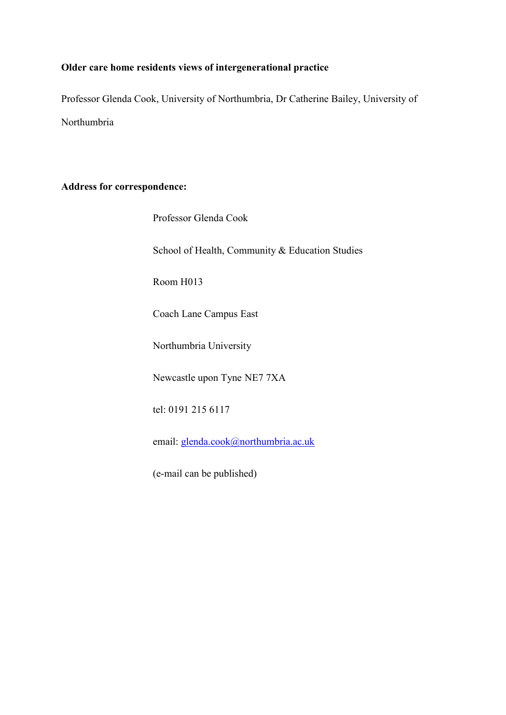# **Older care home residents views of intergenerational practice**

Professor Glenda Cook, University of Northumbria, Dr Catherine Bailey, University of Northumbria

## **Address for correspondence:**

| Professor Glenda Cook |  |
|-----------------------|--|
|                       |  |

School of Health, Community & Education Studies

Room H013

Coach Lane Campus East

Northumbria University

Newcastle upon Tyne NE7 7XA

tel: 0191 215 6117

email: glenda.cook@northumbria.ac.uk

(e-mail can be published)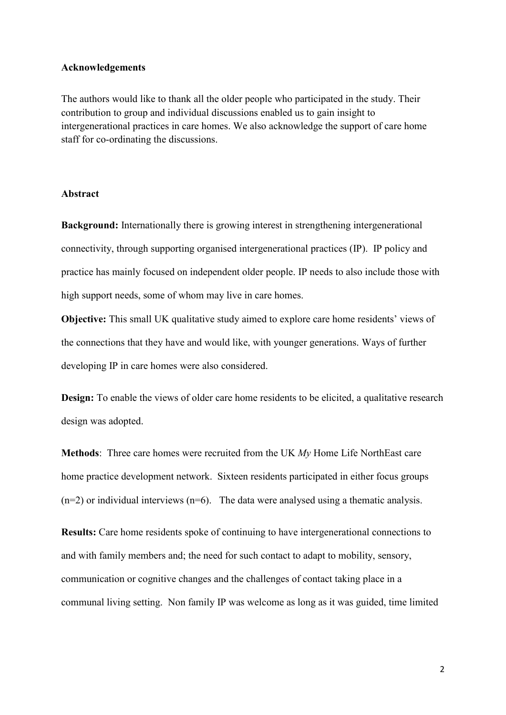## **Acknowledgements**

The authors would like to thank all the older people who participated in the study. Their contribution to group and individual discussions enabled us to gain insight to intergenerational practices in care homes. We also acknowledge the support of care home staff for co-ordinating the discussions.

#### **Abstract**

**Background:** Internationally there is growing interest in strengthening intergenerational connectivity, through supporting organised intergenerational practices (IP). IP policy and practice has mainly focused on independent older people. IP needs to also include those with high support needs, some of whom may live in care homes.

**Objective:** This small UK qualitative study aimed to explore care home residents' views of the connections that they have and would like, with younger generations. Ways of further developing IP in care homes were also considered.

**Design:** To enable the views of older care home residents to be elicited, a qualitative research design was adopted.

**Methods**: Three care homes were recruited from the UK *My* Home Life NorthEast care home practice development network. Sixteen residents participated in either focus groups  $(n=2)$  or individual interviews  $(n=6)$ . The data were analysed using a thematic analysis.

**Results:** Care home residents spoke of continuing to have intergenerational connections to and with family members and; the need for such contact to adapt to mobility, sensory, communication or cognitive changes and the challenges of contact taking place in a communal living setting. Non family IP was welcome as long as it was guided, time limited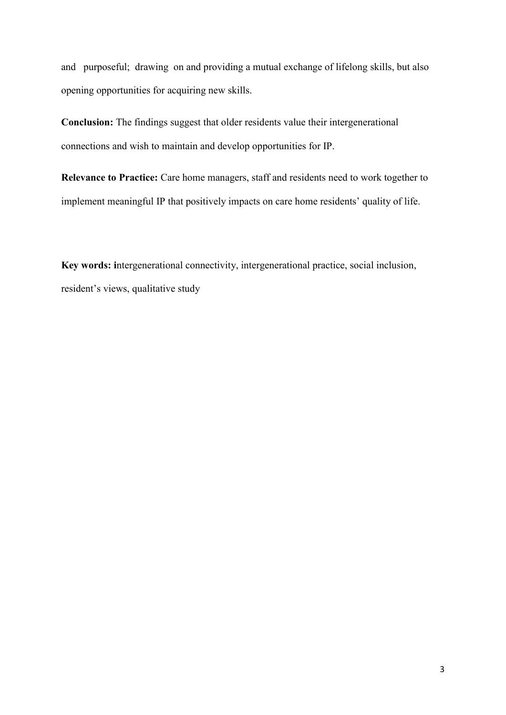and purposeful; drawing on and providing a mutual exchange of lifelong skills, but also opening opportunities for acquiring new skills.

**Conclusion:** The findings suggest that older residents value their intergenerational connections and wish to maintain and develop opportunities for IP.

**Relevance to Practice:** Care home managers, staff and residents need to work together to implement meaningful IP that positively impacts on care home residents' quality of life.

**Key words: i**ntergenerational connectivity, intergenerational practice, social inclusion, resident's views, qualitative study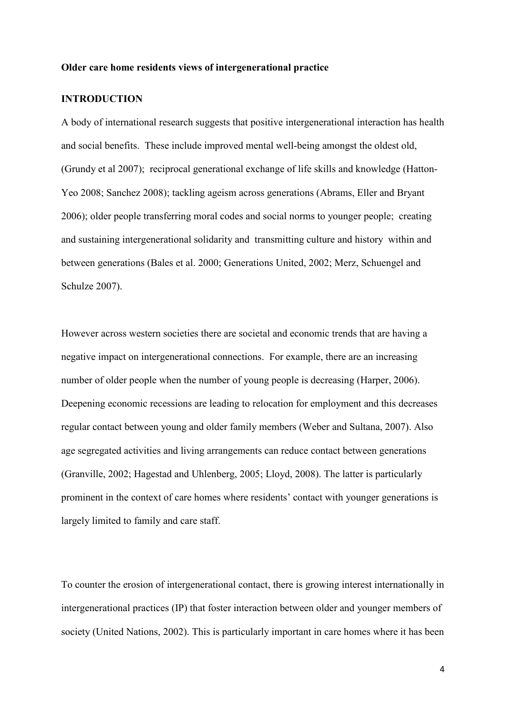#### **Older care home residents views of intergenerational practice**

# **INTRODUCTION**

A body of international research suggests that positive intergenerational interaction has health and social benefits. These include improved mental well-being amongst the oldest old, (Grundy et al 2007); reciprocal generational exchange of life skills and knowledge (Hatton-Yeo 2008; Sanchez 2008); tackling ageism across generations (Abrams, Eller and Bryant 2006); older people transferring moral codes and social norms to younger people; creating and sustaining intergenerational solidarity and transmitting culture and history within and between generations (Bales et al. 2000; Generations United, 2002; Merz, Schuengel and Schulze 2007).

However across western societies there are societal and economic trends that are having a negative impact on intergenerational connections. For example, there are an increasing number of older people when the number of young people is decreasing (Harper, 2006). Deepening economic recessions are leading to relocation for employment and this decreases regular contact between young and older family members (Weber and Sultana, 2007). Also age segregated activities and living arrangements can reduce contact between generations (Granville, 2002; Hagestad and Uhlenberg, 2005; Lloyd, 2008). The latter is particularly prominent in the context of care homes where residents' contact with younger generations is largely limited to family and care staff.

To counter the erosion of intergenerational contact, there is growing interest internationally in intergenerational practices (IP) that foster interaction between older and younger members of society (United Nations, 2002). This is particularly important in care homes where it has been

4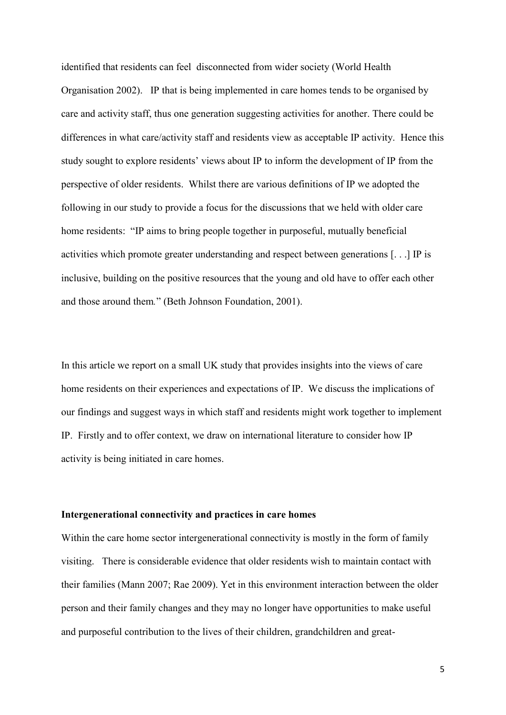identified that residents can feel disconnected from wider society (World Health Organisation 2002). IP that is being implemented in care homes tends to be organised by care and activity staff, thus one generation suggesting activities for another. There could be differences in what care/activity staff and residents view as acceptable IP activity. Hence this study sought to explore residents' views about IP to inform the development of IP from the perspective of older residents. Whilst there are various definitions of IP we adopted the following in our study to provide a focus for the discussions that we held with older care home residents: "IP aims to bring people together in purposeful, mutually beneficial activities which promote greater understanding and respect between generations [. . .] IP is inclusive, building on the positive resources that the young and old have to offer each other and those around them*.*" (Beth Johnson Foundation, 2001).

In this article we report on a small UK study that provides insights into the views of care home residents on their experiences and expectations of IP. We discuss the implications of our findings and suggest ways in which staff and residents might work together to implement IP. Firstly and to offer context, we draw on international literature to consider how IP activity is being initiated in care homes.

#### **Intergenerational connectivity and practices in care homes**

Within the care home sector intergenerational connectivity is mostly in the form of family visiting. There is considerable evidence that older residents wish to maintain contact with their families (Mann 2007; Rae 2009). Yet in this environment interaction between the older person and their family changes and they may no longer have opportunities to make useful and purposeful contribution to the lives of their children, grandchildren and great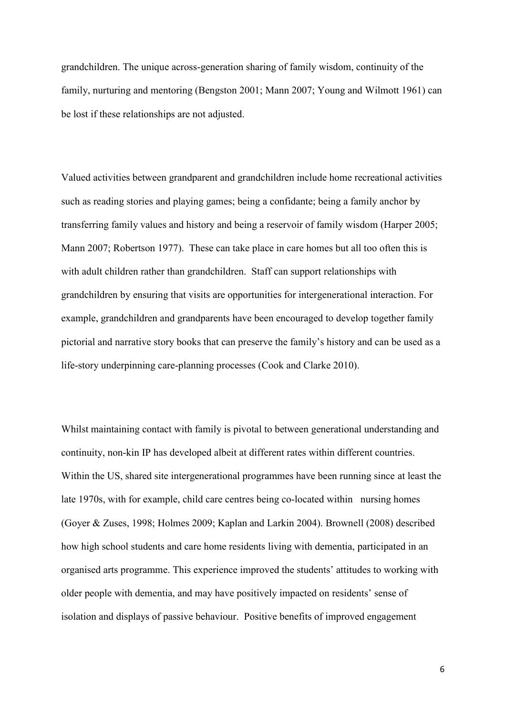grandchildren. The unique across-generation sharing of family wisdom, continuity of the family, nurturing and mentoring (Bengston 2001; Mann 2007; Young and Wilmott 1961) can be lost if these relationships are not adjusted.

Valued activities between grandparent and grandchildren include home recreational activities such as reading stories and playing games; being a confidante; being a family anchor by transferring family values and history and being a reservoir of family wisdom (Harper 2005; Mann 2007; Robertson 1977). These can take place in care homes but all too often this is with adult children rather than grandchildren. Staff can support relationships with grandchildren by ensuring that visits are opportunities for intergenerational interaction. For example, grandchildren and grandparents have been encouraged to develop together family pictorial and narrative story books that can preserve the family's history and can be used as a life-story underpinning care-planning processes (Cook and Clarke 2010).

Whilst maintaining contact with family is pivotal to between generational understanding and continuity, non-kin IP has developed albeit at different rates within different countries. Within the US, shared site intergenerational programmes have been running since at least the late 1970s, with for example, child care centres being co-located within nursing homes (Goyer & Zuses, 1998; Holmes 2009; Kaplan and Larkin 2004). Brownell (2008) described how high school students and care home residents living with dementia, participated in an organised arts programme. This experience improved the students' attitudes to working with older people with dementia, and may have positively impacted on residents' sense of isolation and displays of passive behaviour. Positive benefits of improved engagement

6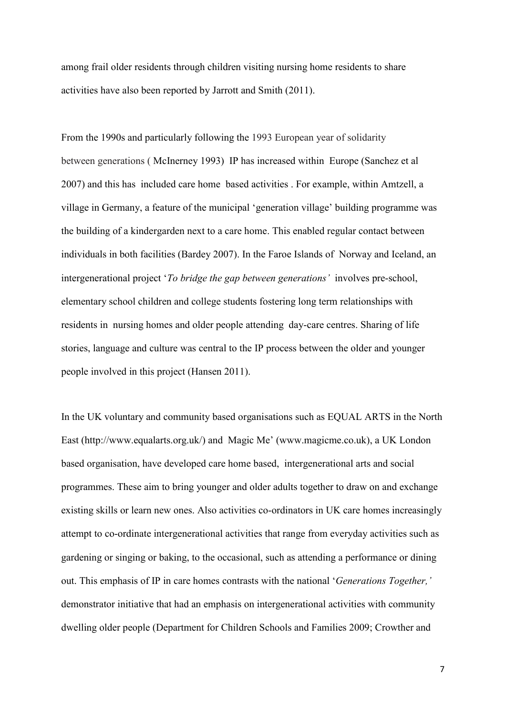among frail older residents through children visiting nursing home residents to share activities have also been reported by Jarrott and Smith (2011).

From the 1990s and particularly following the 1993 European year of solidarity between generations [\( McInerney](http://www.springerlink.com/content/?Author=%c3%89amon+McInerney) 1993) IP has increased within Europe (Sanchez et al 2007) and this has included care home based activities . For example, within Amtzell, a village in Germany, a feature of the municipal 'generation village' building programme was the building of a kindergarden next to a care home. This enabled regular contact between individuals in both facilities (Bardey 2007). In the Faroe Islands of Norway and Iceland, an intergenerational project '*To bridge the gap between generations'* involves pre-school, elementary school children and college students fostering long term relationships with residents in nursing homes and older people attending day-care centres. Sharing of life stories, language and culture was central to the IP process between the older and younger people involved in this project (Hansen 2011).

In the UK voluntary and community based organisations such as EQUAL ARTS in the North East [\(http://www.equalarts.org.uk/](http://www.equalarts.org.uk/)) and Magic Me' ([www.magicme.co.uk\)](http://www.magicme.co.uk/), a UK London based organisation, have developed care home based, intergenerational arts and social programmes. These aim to bring younger and older adults together to draw on and exchange existing skills or learn new ones. Also activities co-ordinators in UK care homes increasingly attempt to co-ordinate intergenerational activities that range from everyday activities such as gardening or singing or baking, to the occasional, such as attending a performance or dining out. This emphasis of IP in care homes contrasts with the national '*Generations Together,'* demonstrator initiative that had an emphasis on intergenerational activities with community dwelling older people (Department for Children Schools and Families 2009; Crowther and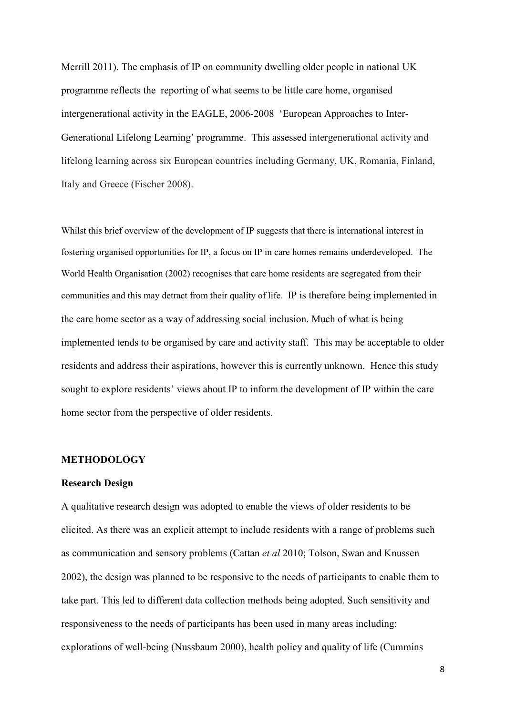Merrill 2011). The emphasis of IP on community dwelling older people in national UK programme reflects the reporting of what seems to be little care home, organised intergenerational activity in the EAGLE, 2006-2008 'European Approaches to Inter-Generational Lifelong Learning' programme. This assessed intergenerational activity and lifelong learning across six European countries including Germany, UK, Romania, Finland, Italy and Greece (Fischer 2008).

Whilst this brief overview of the development of IP suggests that there is international interest in fostering organised opportunities for IP, a focus on IP in care homes remains underdeveloped. The World Health Organisation (2002) recognises that care home residents are segregated from their communities and this may detract from their quality of life. IP is therefore being implemented in the care home sector as a way of addressing social inclusion. Much of what is being implemented tends to be organised by care and activity staff. This may be acceptable to older residents and address their aspirations, however this is currently unknown. Hence this study sought to explore residents' views about IP to inform the development of IP within the care home sector from the perspective of older residents.

## **METHODOLOGY**

#### **Research Design**

A qualitative research design was adopted to enable the views of older residents to be elicited. As there was an explicit attempt to include residents with a range of problems such as communication and sensory problems (Cattan *et al* 2010; Tolson, Swan and Knussen 2002), the design was planned to be responsive to the needs of participants to enable them to take part. This led to different data collection methods being adopted. Such sensitivity and responsiveness to the needs of participants has been used in many areas including: explorations of well-being (Nussbaum 2000), health policy and quality of life (Cummins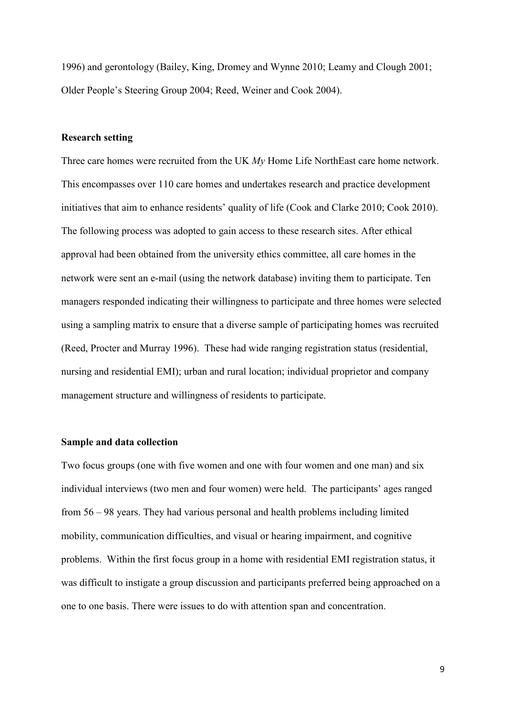1996) and gerontology (Bailey, King, Dromey and Wynne 2010; Leamy and Clough 2001; Older People's Steering Group 2004; Reed, Weiner and Cook 2004).

## **Research setting**

Three care homes were recruited from the UK *My* Home Life NorthEast care home network. This encompasses over 110 care homes and undertakes research and practice development initiatives that aim to enhance residents' quality of life (Cook and Clarke 2010; Cook 2010). The following process was adopted to gain access to these research sites. After ethical approval had been obtained from the university ethics committee, all care homes in the network were sent an e-mail (using the network database) inviting them to participate. Ten managers responded indicating their willingness to participate and three homes were selected using a sampling matrix to ensure that a diverse sample of participating homes was recruited (Reed, Procter and Murray 1996). These had wide ranging registration status (residential, nursing and residential EMI); urban and rural location; individual proprietor and company management structure and willingness of residents to participate.

## **Sample and data collection**

Two focus groups (one with five women and one with four women and one man) and six individual interviews (two men and four women) were held. The participants' ages ranged from 56 – 98 years. They had various personal and health problems including limited mobility, communication difficulties, and visual or hearing impairment, and cognitive problems. Within the first focus group in a home with residential EMI registration status, it was difficult to instigate a group discussion and participants preferred being approached on a one to one basis. There were issues to do with attention span and concentration.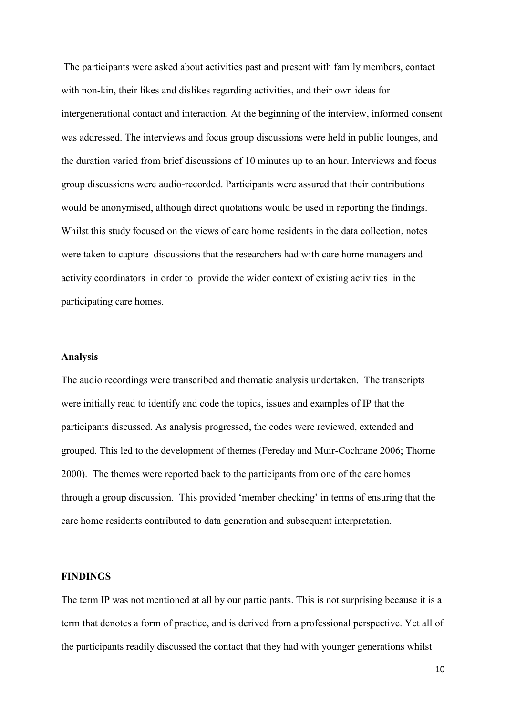The participants were asked about activities past and present with family members, contact with non-kin, their likes and dislikes regarding activities, and their own ideas for intergenerational contact and interaction. At the beginning of the interview, informed consent was addressed. The interviews and focus group discussions were held in public lounges, and the duration varied from brief discussions of 10 minutes up to an hour. Interviews and focus group discussions were audio-recorded. Participants were assured that their contributions would be anonymised, although direct quotations would be used in reporting the findings. Whilst this study focused on the views of care home residents in the data collection, notes were taken to capture discussions that the researchers had with care home managers and activity coordinators in order to provide the wider context of existing activities in the participating care homes.

## **Analysis**

The audio recordings were transcribed and thematic analysis undertaken. The transcripts were initially read to identify and code the topics, issues and examples of IP that the participants discussed. As analysis progressed, the codes were reviewed, extended and grouped. This led to the development of themes (Fereday and Muir-Cochrane 2006; Thorne 2000). The themes were reported back to the participants from one of the care homes through a group discussion. This provided 'member checking' in terms of ensuring that the care home residents contributed to data generation and subsequent interpretation.

## **FINDINGS**

The term IP was not mentioned at all by our participants. This is not surprising because it is a term that denotes a form of practice, and is derived from a professional perspective. Yet all of the participants readily discussed the contact that they had with younger generations whilst

10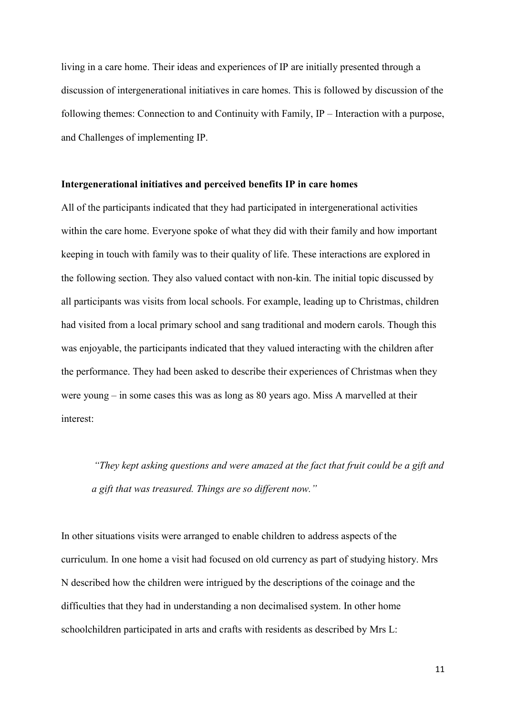living in a care home. Their ideas and experiences of IP are initially presented through a discussion of intergenerational initiatives in care homes. This is followed by discussion of the following themes: Connection to and Continuity with Family, IP – Interaction with a purpose, and Challenges of implementing IP.

## **Intergenerational initiatives and perceived benefits IP in care homes**

All of the participants indicated that they had participated in intergenerational activities within the care home. Everyone spoke of what they did with their family and how important keeping in touch with family was to their quality of life. These interactions are explored in the following section. They also valued contact with non-kin. The initial topic discussed by all participants was visits from local schools. For example, leading up to Christmas, children had visited from a local primary school and sang traditional and modern carols. Though this was enjoyable, the participants indicated that they valued interacting with the children after the performance. They had been asked to describe their experiences of Christmas when they were young – in some cases this was as long as 80 years ago. Miss A marvelled at their interest:

*"They kept asking questions and were amazed at the fact that fruit could be a gift and a gift that was treasured. Things are so different now."* 

In other situations visits were arranged to enable children to address aspects of the curriculum. In one home a visit had focused on old currency as part of studying history. Mrs N described how the children were intrigued by the descriptions of the coinage and the difficulties that they had in understanding a non decimalised system. In other home schoolchildren participated in arts and crafts with residents as described by Mrs L:

11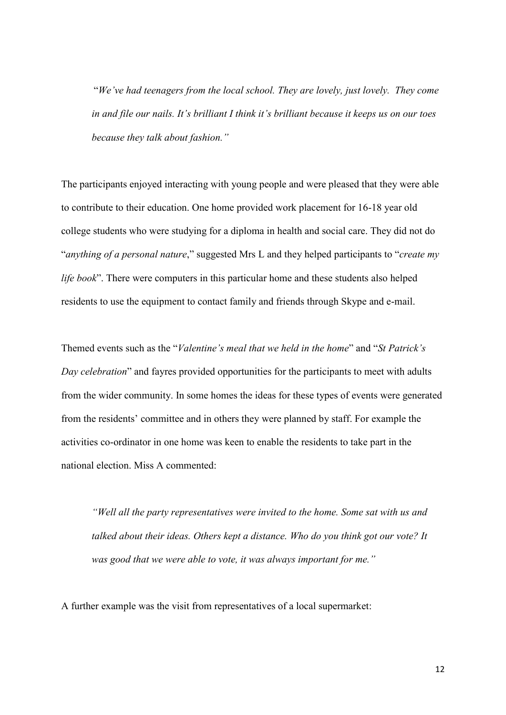"*We've had teenagers from the local school. They are lovely, just lovely. They come in and file our nails. It's brilliant I think it's brilliant because it keeps us on our toes because they talk about fashion."*

The participants enjoyed interacting with young people and were pleased that they were able to contribute to their education. One home provided work placement for 16-18 year old college students who were studying for a diploma in health and social care. They did not do "*anything of a personal nature*," suggested Mrs L and they helped participants to "*create my life book*". There were computers in this particular home and these students also helped residents to use the equipment to contact family and friends through Skype and e-mail.

Themed events such as the "*Valentine's meal that we held in the home*" and "*St Patrick's Day celebration*" and fayres provided opportunities for the participants to meet with adults from the wider community. In some homes the ideas for these types of events were generated from the residents' committee and in others they were planned by staff. For example the activities co-ordinator in one home was keen to enable the residents to take part in the national election. Miss A commented:

*"Well all the party representatives were invited to the home. Some sat with us and talked about their ideas. Others kept a distance. Who do you think got our vote? It was good that we were able to vote, it was always important for me."* 

A further example was the visit from representatives of a local supermarket: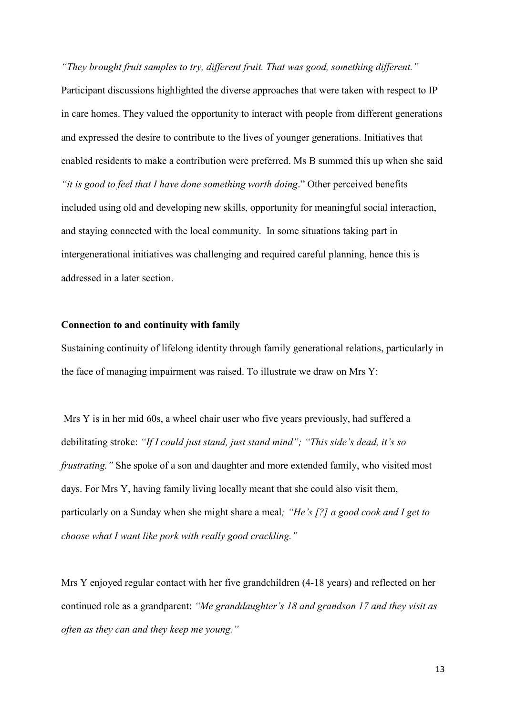*"They brought fruit samples to try, different fruit. That was good, something different."* Participant discussions highlighted the diverse approaches that were taken with respect to IP in care homes. They valued the opportunity to interact with people from different generations and expressed the desire to contribute to the lives of younger generations. Initiatives that enabled residents to make a contribution were preferred. Ms B summed this up when she said *"it is good to feel that I have done something worth doing*." Other perceived benefits included using old and developing new skills, opportunity for meaningful social interaction, and staying connected with the local community. In some situations taking part in intergenerational initiatives was challenging and required careful planning, hence this is addressed in a later section.

# **Connection to and continuity with family**

Sustaining continuity of lifelong identity through family generational relations, particularly in the face of managing impairment was raised. To illustrate we draw on Mrs Y:

 Mrs Y is in her mid 60s, a wheel chair user who five years previously, had suffered a debilitating stroke: *"If I could just stand, just stand mind"; "This side's dead, it's so frustrating."* She spoke of a son and daughter and more extended family, who visited most days. For Mrs Y, having family living locally meant that she could also visit them, particularly on a Sunday when she might share a meal*; "He's [?] a good cook and I get to choose what I want like pork with really good crackling."* 

Mrs Y enjoyed regular contact with her five grandchildren (4-18 years) and reflected on her continued role as a grandparent: *"Me granddaughter's 18 and grandson 17 and they visit as often as they can and they keep me young."*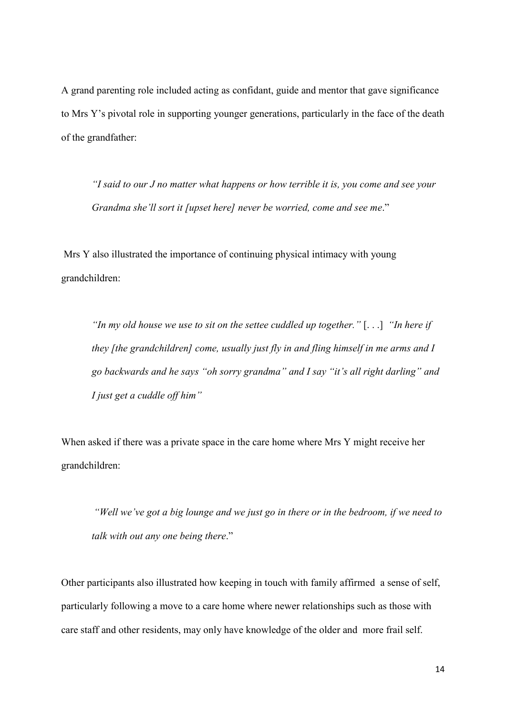A grand parenting role included acting as confidant, guide and mentor that gave significance to Mrs Y's pivotal role in supporting younger generations, particularly in the face of the death of the grandfather:

*"I said to our J no matter what happens or how terrible it is, you come and see your Grandma she'll sort it [upset here] never be worried, come and see me*."

Mrs Y also illustrated the importance of continuing physical intimacy with young grandchildren:

*"In my old house we use to sit on the settee cuddled up together."* [. . .] *"In here if they [the grandchildren] come, usually just fly in and fling himself in me arms and I go backwards and he says "oh sorry grandma" and I say "it's all right darling" and I just get a cuddle off him"*

When asked if there was a private space in the care home where Mrs Y might receive her grandchildren:

*"Well we've got a big lounge and we just go in there or in the bedroom, if we need to talk with out any one being there*."

Other participants also illustrated how keeping in touch with family affirmed a sense of self, particularly following a move to a care home where newer relationships such as those with care staff and other residents, may only have knowledge of the older and more frail self.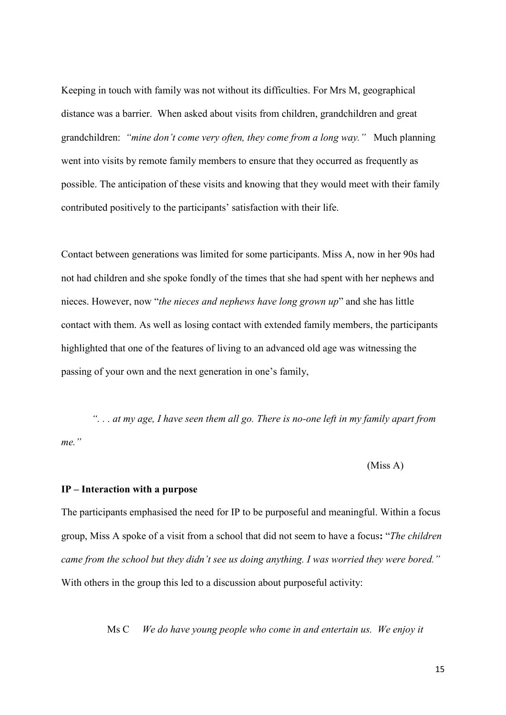Keeping in touch with family was not without its difficulties. For Mrs M, geographical distance was a barrier. When asked about visits from children, grandchildren and great grandchildren: *"mine don't come very often, they come from a long way."* Much planning went into visits by remote family members to ensure that they occurred as frequently as possible. The anticipation of these visits and knowing that they would meet with their family contributed positively to the participants' satisfaction with their life.

Contact between generations was limited for some participants. Miss A, now in her 90s had not had children and she spoke fondly of the times that she had spent with her nephews and nieces. However, now "*the nieces and nephews have long grown up*" and she has little contact with them. As well as losing contact with extended family members, the participants highlighted that one of the features of living to an advanced old age was witnessing the passing of your own and the next generation in one's family,

*". . . at my age, I have seen them all go. There is no-one left in my family apart from me."*

(Miss A)

## **IP – Interaction with a purpose**

The participants emphasised the need for IP to be purposeful and meaningful. Within a focus group, Miss A spoke of a visit from a school that did not seem to have a focus**:** "*The children came from the school but they didn't see us doing anything. I was worried they were bored."*  With others in the group this led to a discussion about purposeful activity:

Ms C *We do have young people who come in and entertain us. We enjoy it*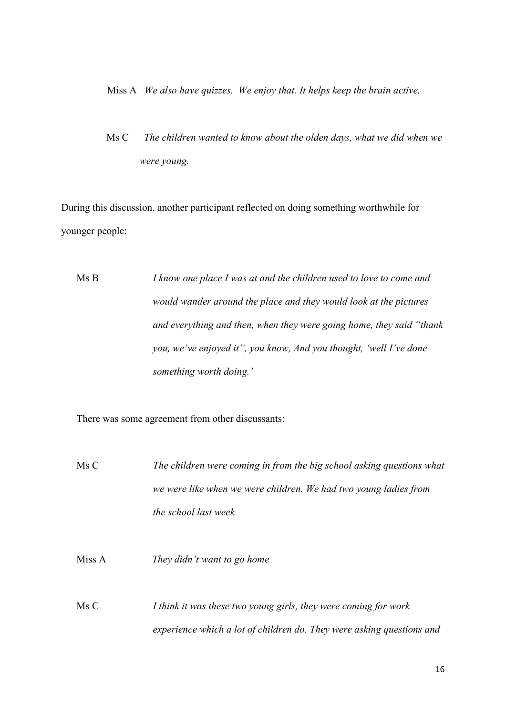#### Miss A *We also have quizzes. We enjoy that. It helps keep the brain active.*

 Ms C *The children wanted to know about the olden days, what we did when we were young.*

During this discussion, another participant reflected on doing something worthwhile for younger people:

Ms B *I know one place I was at and the children used to love to come and would wander around the place and they would look at the pictures and everything and then, when they were going home, they said "thank you, we've enjoyed it", you know, And you thought, 'well I've done something worth doing.'*

There was some agreement from other discussants:

Ms C *The children were coming in from the big school asking questions what we were like when we were children. We had two young ladies from the school last week*

Miss A *They didn't want to go home*

Ms C *I think it was these two young girls, they were coming for work experience which a lot of children do. They were asking questions and*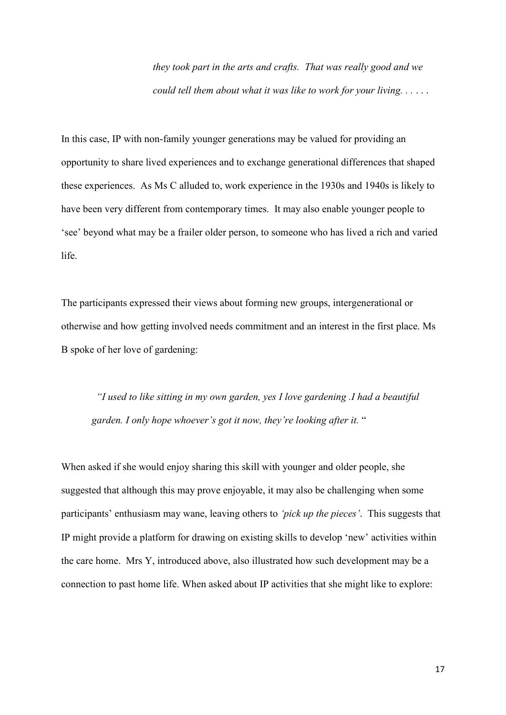*they took part in the arts and crafts. That was really good and we could tell them about what it was like to work for your living. . .* . . .

In this case, IP with non-family younger generations may be valued for providing an opportunity to share lived experiences and to exchange generational differences that shaped these experiences. As Ms C alluded to, work experience in the 1930s and 1940s is likely to have been very different from contemporary times. It may also enable younger people to 'see' beyond what may be a frailer older person, to someone who has lived a rich and varied life.

The participants expressed their views about forming new groups, intergenerational or otherwise and how getting involved needs commitment and an interest in the first place. Ms B spoke of her love of gardening:

*"I used to like sitting in my own garden, yes I love gardening .I had a beautiful garden. I only hope whoever's got it now, they're looking after it.* "

When asked if she would enjoy sharing this skill with younger and older people, she suggested that although this may prove enjoyable, it may also be challenging when some participants' enthusiasm may wane, leaving others to *'pick up the pieces'*. This suggests that IP might provide a platform for drawing on existing skills to develop 'new' activities within the care home. Mrs Y, introduced above, also illustrated how such development may be a connection to past home life. When asked about IP activities that she might like to explore: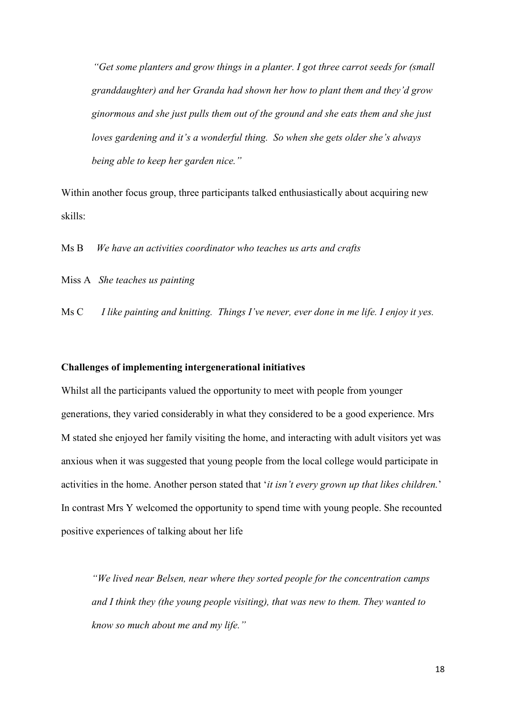*"Get some planters and grow things in a planter. I got three carrot seeds for (small granddaughter) and her Granda had shown her how to plant them and they'd grow ginormous and she just pulls them out of the ground and she eats them and she just loves gardening and it's a wonderful thing. So when she gets older she's always being able to keep her garden nice."*

Within another focus group, three participants talked enthusiastically about acquiring new skills:

Ms B *We have an activities coordinator who teaches us arts and crafts*

Miss A *She teaches us painting*

Ms C *I like painting and knitting. Things I've never, ever done in me life. I enjoy it yes.*

## **Challenges of implementing intergenerational initiatives**

Whilst all the participants valued the opportunity to meet with people from younger generations, they varied considerably in what they considered to be a good experience. Mrs M stated she enjoyed her family visiting the home, and interacting with adult visitors yet was anxious when it was suggested that young people from the local college would participate in activities in the home. Another person stated that '*it isn't every grown up that likes children.*' In contrast Mrs Y welcomed the opportunity to spend time with young people. She recounted positive experiences of talking about her life

*"We lived near Belsen, near where they sorted people for the concentration camps and I think they (the young people visiting), that was new to them. They wanted to know so much about me and my life."*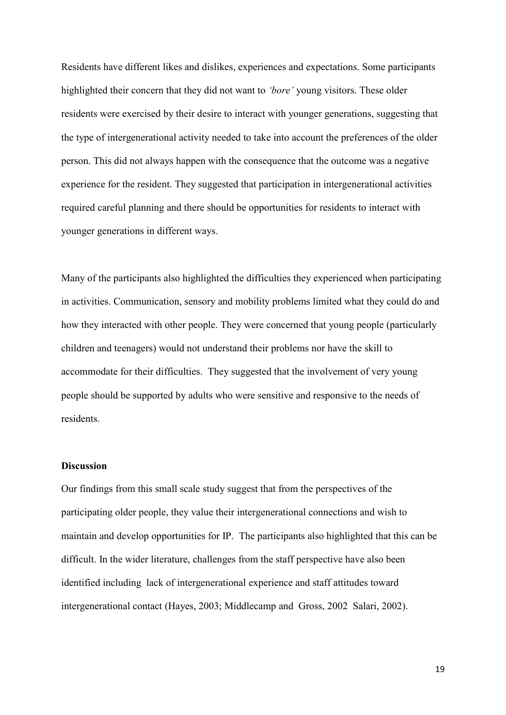Residents have different likes and dislikes, experiences and expectations. Some participants highlighted their concern that they did not want to *'bore'* young visitors. These older residents were exercised by their desire to interact with younger generations, suggesting that the type of intergenerational activity needed to take into account the preferences of the older person. This did not always happen with the consequence that the outcome was a negative experience for the resident. They suggested that participation in intergenerational activities required careful planning and there should be opportunities for residents to interact with younger generations in different ways.

Many of the participants also highlighted the difficulties they experienced when participating in activities. Communication, sensory and mobility problems limited what they could do and how they interacted with other people. They were concerned that young people (particularly children and teenagers) would not understand their problems nor have the skill to accommodate for their difficulties. They suggested that the involvement of very young people should be supported by adults who were sensitive and responsive to the needs of residents.

# **Discussion**

Our findings from this small scale study suggest that from the perspectives of the participating older people, they value their intergenerational connections and wish to maintain and develop opportunities for IP. The participants also highlighted that this can be difficult. In the wider literature, challenges from the staff perspective have also been identified including lack of intergenerational experience and staff attitudes toward intergenerational contact (Hayes, 2003; Middlecamp and Gross, 2002 Salari, 2002).

19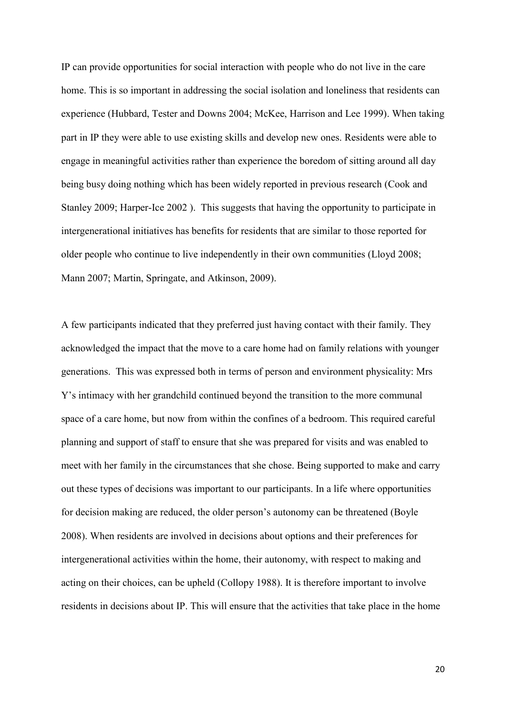IP can provide opportunities for social interaction with people who do not live in the care home. This is so important in addressing the social isolation and loneliness that residents can experience (Hubbard, Tester and Downs 2004; McKee, Harrison and Lee 1999). When taking part in IP they were able to use existing skills and develop new ones. Residents were able to engage in meaningful activities rather than experience the boredom of sitting around all day being busy doing nothing which has been widely reported in previous research (Cook and Stanley 2009; Harper-Ice 2002 ). This suggests that having the opportunity to participate in intergenerational initiatives has benefits for residents that are similar to those reported for older people who continue to live independently in their own communities (Lloyd 2008; Mann 2007; Martin, Springate, and Atkinson, 2009).

A few participants indicated that they preferred just having contact with their family. They acknowledged the impact that the move to a care home had on family relations with younger generations. This was expressed both in terms of person and environment physicality: Mrs Y's intimacy with her grandchild continued beyond the transition to the more communal space of a care home, but now from within the confines of a bedroom. This required careful planning and support of staff to ensure that she was prepared for visits and was enabled to meet with her family in the circumstances that she chose. Being supported to make and carry out these types of decisions was important to our participants. In a life where opportunities for decision making are reduced, the older person's autonomy can be threatened (Boyle 2008). When residents are involved in decisions about options and their preferences for intergenerational activities within the home, their autonomy, with respect to making and acting on their choices, can be upheld (Collopy 1988). It is therefore important to involve residents in decisions about IP. This will ensure that the activities that take place in the home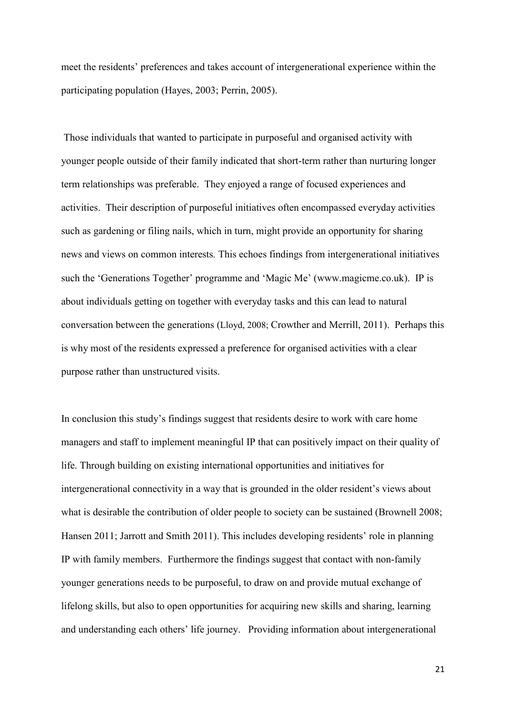meet the residents' preferences and takes account of intergenerational experience within the participating population (Hayes, 2003; Perrin, 2005).

 Those individuals that wanted to participate in purposeful and organised activity with younger people outside of their family indicated that short-term rather than nurturing longer term relationships was preferable. They enjoyed a range of focused experiences and activities. Their description of purposeful initiatives often encompassed everyday activities such as gardening or filing nails, which in turn, might provide an opportunity for sharing news and views on common interests*.* This echoes findings from intergenerational initiatives such the 'Generations Together' programme and 'Magic Me' ([www.magicme.co.uk\)](http://www.magicme.co.uk/). IP is about individuals getting on together with everyday tasks and this can lead to natural conversation between the generations (Lloyd, 2008; Crowther and Merrill, 2011). Perhaps this is why most of the residents expressed a preference for organised activities with a clear purpose rather than unstructured visits.

In conclusion this study's findings suggest that residents desire to work with care home managers and staff to implement meaningful IP that can positively impact on their quality of life. Through building on existing international opportunities and initiatives for intergenerational connectivity in a way that is grounded in the older resident's views about what is desirable the contribution of older people to society can be sustained (Brownell 2008; Hansen 2011; Jarrott and Smith 2011). This includes developing residents' role in planning IP with family members. Furthermore the findings suggest that contact with non-family younger generations needs to be purposeful, to draw on and provide mutual exchange of lifelong skills, but also to open opportunities for acquiring new skills and sharing, learning and understanding each others' life journey. Providing information about intergenerational

21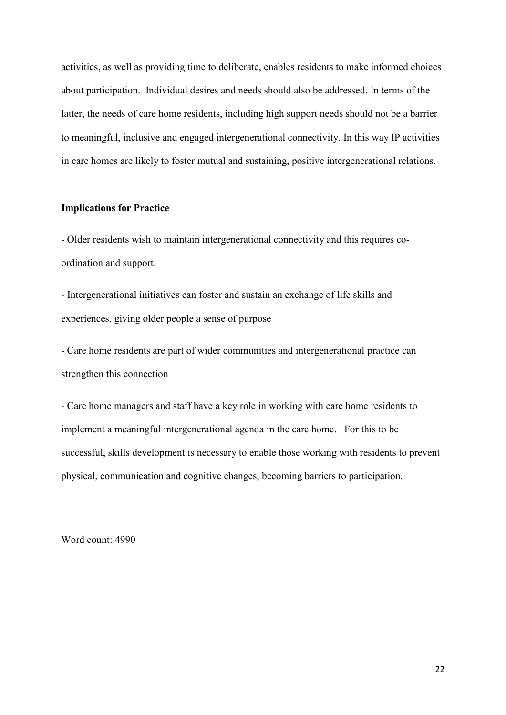activities, as well as providing time to deliberate, enables residents to make informed choices about participation. Individual desires and needs should also be addressed. In terms of the latter, the needs of care home residents, including high support needs should not be a barrier to meaningful, inclusive and engaged intergenerational connectivity. In this way IP activities in care homes are likely to foster mutual and sustaining, positive intergenerational relations.

## **Implications for Practice**

- Older residents wish to maintain intergenerational connectivity and this requires coordination and support.

- Intergenerational initiatives can foster and sustain an exchange of life skills and experiences, giving older people a sense of purpose

- Care home residents are part of wider communities and intergenerational practice can strengthen this connection

- Care home managers and staff have a key role in working with care home residents to implement a meaningful intergenerational agenda in the care home. For this to be successful, skills development is necessary to enable those working with residents to prevent physical, communication and cognitive changes, becoming barriers to participation.

Word count: 4990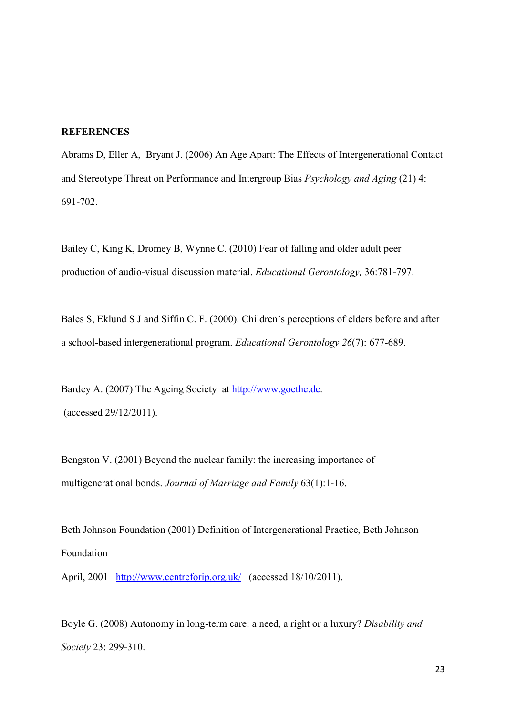#### **REFERENCES**

Abrams D, Eller A, Bryant J. (2006) An Age Apart: The Effects of Intergenerational Contact and Stereotype Threat on Performance and Intergroup Bias *Psychology and Aging* (21) 4: 691-702.

Bailey C, King K, Dromey B, Wynne C. (2010) Fear of falling and older adult peer production of audio-visual discussion material. *Educational Gerontology,* 36:781-797.

Bales S, Eklund S J and Siffin C. F. (2000). Children's perceptions of elders before and after a school-based intergenerational program. *Educational Gerontology 26*(7): 677-689.

Bardey A. (2007) The Ageing Society at [http://www.goethe.de.](http://www.goethe.de/) (accessed 29/12/2011).

Bengston V. (2001) Beyond the nuclear family: the increasing importance of multigenerational bonds. *Journal of Marriage and Family* 63(1):1-16.

Beth Johnson Foundation (2001) Definition of Intergenerational Practice, Beth Johnson Foundation

April, 2001 <http://www.centreforip.org.uk/>(accessed 18/10/2011).

Boyle G. (2008) Autonomy in long-term care: a need, a right or a luxury? *Disability and Society* 23: 299-310.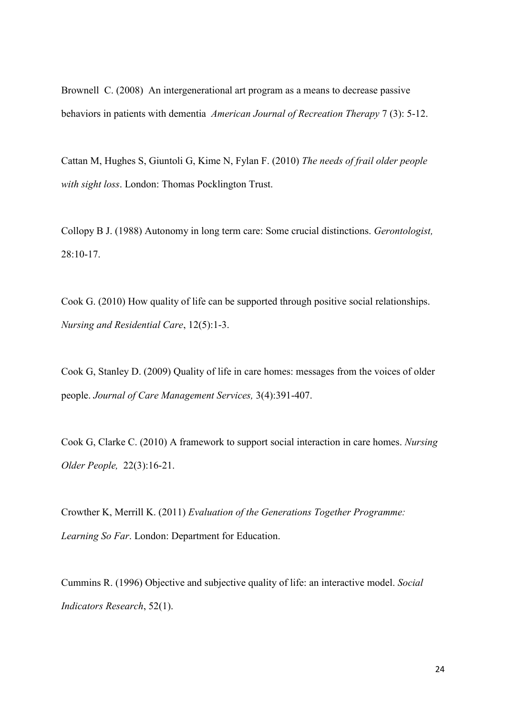Brownell C. (2008) An intergenerational art program as a means to decrease passive behaviors in patients with dementia *American Journal of Recreation Therapy* 7 (3): 5-12.

Cattan M, Hughes S, Giuntoli G, Kime N, Fylan F. (2010) *The needs of frail older people with sight loss*. London: Thomas Pocklington Trust.

Collopy B J. (1988) Autonomy in long term care: Some crucial distinctions. *Gerontologist,*  28:10-17.

Cook G. (2010) How quality of life can be supported through positive social relationships. *Nursing and Residential Care*, 12(5):1-3.

Cook G, Stanley D. (2009) Quality of life in care homes: messages from the voices of older people. *Journal of Care Management Services,* 3(4):391-407.

Cook G, Clarke C. (2010) A framework to support social interaction in care homes. *Nursing Older People,* 22(3):16-21.

Crowther K, Merrill K. (2011) *Evaluation of the Generations Together Programme: Learning So Far*. London: Department for Education.

Cummins R. (1996) Objective and subjective quality of life: an interactive model. *Social Indicators Research*, 52(1).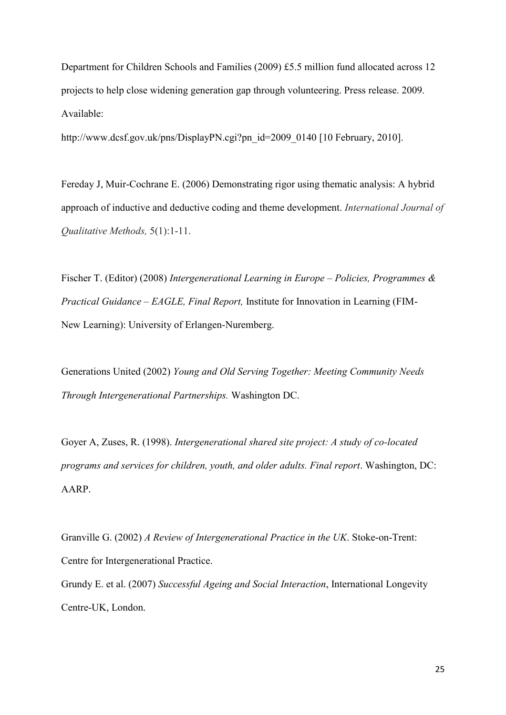Department for Children Schools and Families (2009) £5.5 million fund allocated across 12 projects to help close widening generation gap through volunteering. Press release. 2009. Available:

http://www.dcsf.gov.uk/pns/DisplayPN.cgi?pn\_id=2009\_0140 [10 February, 2010].

Fereday J, Muir-Cochrane E. (2006) Demonstrating rigor using thematic analysis: A hybrid approach of inductive and deductive coding and theme development. *International Journal of Qualitative Methods,* 5(1):1-11.

Fischer T. (Editor) (2008) *Intergenerational Learning in Europe – Policies, Programmes & Practical Guidance – EAGLE, Final Report,* Institute for Innovation in Learning (FIM-New Learning): University of Erlangen-Nuremberg.

Generations United (2002) *Young and Old Serving Together: Meeting Community Needs Through Intergenerational Partnerships.* Washington DC.

Goyer A, Zuses, R. (1998). *Intergenerational shared site project: A study of co-located programs and services for children, youth, and older adults. Final report*. Washington, DC: AARP.

Granville G. (2002) *A Review of Intergenerational Practice in the UK*. Stoke-on-Trent: Centre for Intergenerational Practice. Grundy E. et al. (2007) *Successful Ageing and Social Interaction*, International Longevity Centre-UK, London.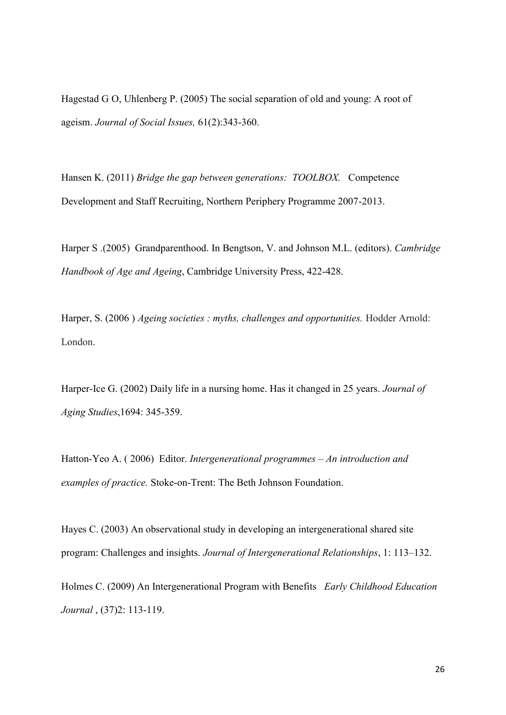Hagestad G O, Uhlenberg P. (2005) The social separation of old and young: A root of ageism. *Journal of Social Issues,* 61(2):343-360.

Hansen K. (2011) *Bridge the gap between generations: TOOLBOX.* Competence Development and Staff Recruiting, Northern Periphery Programme 2007-2013.

Harper S .(2005) Grandparenthood. In Bengtson, V. and Johnson M.L. (editors). *Cambridge Handbook of Age and Ageing*, Cambridge University Press, 422-428.

Harper, S. (2006 ) *Ageing societies : myths, challenges and opportunities.* Hodder Arnold: London.

Harper-Ice G. (2002) Daily life in a nursing home. Has it changed in 25 years. *Journal of Aging Studies*,1694: 345-359.

Hatton-Yeo A. ( 2006) Editor. *Intergenerational programmes – An introduction and examples of practice.* Stoke-on-Trent: The Beth Johnson Foundation.

Hayes C. (2003) An observational study in developing an intergenerational shared site program: Challenges and insights. *Journal of Intergenerational Relationships*, 1: 113–132.

Holmes C. (2009) An Intergenerational Program with Benefits *[Early Childhood Education](http://www.springerlink.com/content/1082-3301/)  [Journal](http://www.springerlink.com/content/1082-3301/)* [, \(37\)2:](http://www.springerlink.com/content/1082-3301/37/2/) 113-119.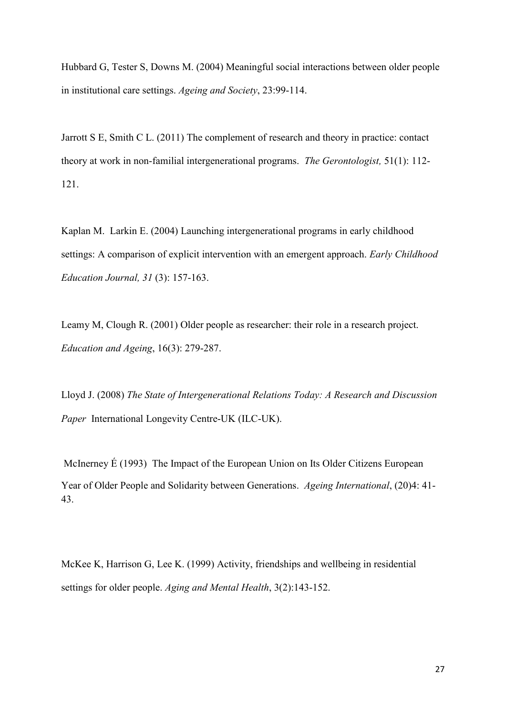Hubbard G, Tester S, Downs M. (2004) Meaningful social interactions between older people in institutional care settings. *Ageing and Society*, 23:99-114.

Jarrott S E, Smith C L. (2011) The complement of research and theory in practice: contact theory at work in non-familial intergenerational programs. *The Gerontologist,* 51(1): 112- 121.

Kaplan M. Larkin E. (2004) Launching intergenerational programs in early childhood settings: A comparison of explicit intervention with an emergent approach. *Early Childhood Education Journal, 31* (3): 157-163.

Leamy M, Clough R. (2001) Older people as researcher: their role in a research project. *Education and Ageing*, 16(3): 279-287.

Lloyd J. (2008) *The State of Intergenerational Relations Today: A Research and Discussion Paper* International Longevity Centre-UK (ILC-UK).

 [McInerney](http://www.springerlink.com/content/?Author=%c3%89amon+McInerney) É (1993) The Impact of the European Union on Its Older Citizens European Year of Older People and Solidarity between Generations. *[Ageing International](http://www.springerlink.com/content/0163-5158/)*, [\(20\)4:](http://www.springerlink.com/content/0163-5158/20/4/) 41- 43.

McKee K, Harrison G, Lee K. (1999) Activity, friendships and wellbeing in residential settings for older people. *Aging and Mental Health*, 3(2):143-152.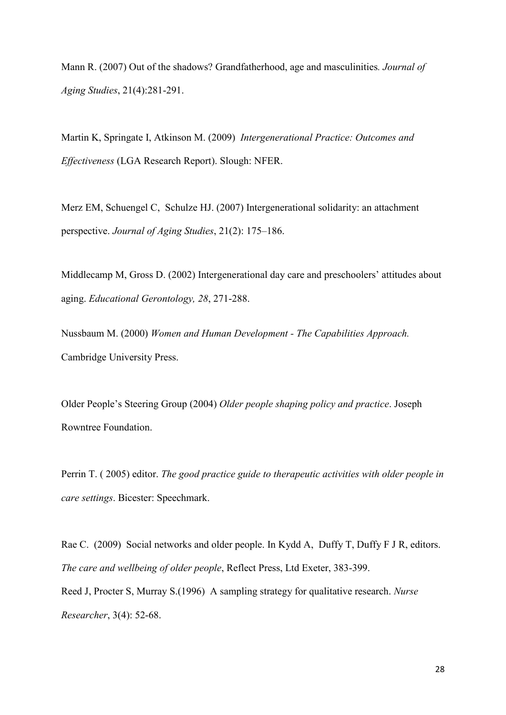Mann R. (2007) Out of the shadows? Grandfatherhood, age and masculinities*. Journal of Aging Studies*, 21(4):281-291.

Martin K, Springate I, Atkinson M. (2009) *Intergenerational Practice: Outcomes and Effectiveness* (LGA Research Report). Slough: NFER.

Merz EM, Schuengel C, Schulze HJ. (2007) Intergenerational solidarity: an attachment perspective. *Journal of Aging Studies*, 21(2): 175–186.

Middlecamp M, Gross D. (2002) Intergenerational day care and preschoolers' attitudes about aging. *Educational Gerontology, 28*, 271-288.

Nussbaum M. (2000) *Women and Human Development - The Capabilities Approach.* Cambridge University Press.

Older People's Steering Group (2004) *Older people shaping policy and practice*. Joseph Rowntree Foundation.

Perrin T. ( 2005) editor. *The good practice guide to therapeutic activities with older people in care settings*. Bicester: Speechmark.

Rae C. (2009) Social networks and older people. In Kydd A, Duffy T, Duffy F J R, editors. *The care and wellbeing of older people*, Reflect Press, Ltd Exeter, 383-399.

Reed J, Procter S, Murray S.(1996) A sampling strategy for qualitative research. *Nurse Researcher*, 3(4): 52-68.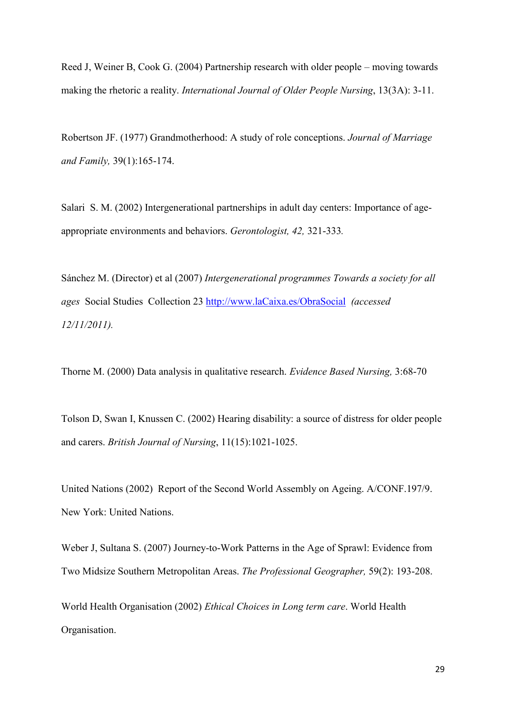Reed J, Weiner B, Cook G. (2004) Partnership research with older people – moving towards making the rhetoric a reality. *International Journal of Older People Nursing*, 13(3A): 3-11.

Robertson JF. (1977) Grandmotherhood: A study of role conceptions. *Journal of Marriage and Family,* 39(1):165-174.

Salari S. M. (2002) Intergenerational partnerships in adult day centers: Importance of ageappropriate environments and behaviors. *Gerontologist, 42,* 321-333*.*

Sánchez M. (Director) et al (2007) *Intergenerational programmes Towards a society for all ages* Social Studies Collection 23 [http://www.laCaixa.es/ObraSocial](http://www.lacaixa.es/ObraSocial) *(accessed 12/11/2011).* 

Thorne M. (2000) Data analysis in qualitative research. *Evidence Based Nursing,* 3:68-70

Tolson D, Swan I, Knussen C. (2002) Hearing disability: a source of distress for older people and carers. *British Journal of Nursing*, 11(15):1021-1025.

United Nations (2002) Report of the Second World Assembly on Ageing. A/CONF.197/9. New York: United Nations.

Weber J, Sultana S. (2007) Journey-to-Work Patterns in the Age of Sprawl: Evidence from Two Midsize Southern Metropolitan Areas. *The Professional Geographer,* 59(2): 193-208.

World Health Organisation (2002) *Ethical Choices in Long term care*. World Health Organisation.